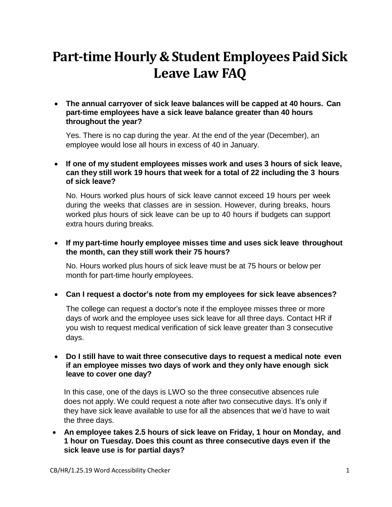# **Part-time Hourly & Student Employees Paid Sick Leave Law FAQ**

 **The annual carryover of sick leave balances will be capped at 40 hours. Can part-time employees have a sick leave balance greater than 40 hours throughout the year?**

Yes. There is no cap during the year. At the end of the year (December), an employee would lose all hours in excess of 40 in January.

 **If one of my student employees misses work and uses 3 hours of sick leave, can they still work 19 hours that week for a total of 22 including the 3 hours of sick leave?**

No. Hours worked plus hours of sick leave cannot exceed 19 hours per week during the weeks that classes are in session. However, during breaks, hours worked plus hours of sick leave can be up to 40 hours if budgets can support extra hours during breaks.

 **If my part-time hourly employee misses time and uses sick leave throughout the month, can they still work their 75 hours?**

No. Hours worked plus hours of sick leave must be at 75 hours or below per month for part-time hourly employees.

**Can I request a doctor's note from my employees for sick leave absences?**

The college can request a doctor's note if the employee misses three or more days of work and the employee uses sick leave for all three days. Contact HR if you wish to request medical verification of sick leave greater than 3 consecutive days.

#### **Do I still have to wait three consecutive days to request a medical note even if an employee misses two days of work and they only have enough sick leave to cover one day?**

In this case, one of the days is LWO so the three consecutive absences rule does not apply. We could request a note after two consecutive days. It's only if they have sick leave available to use for all the absences that we'd have to wait the three days.

 **An employee takes 2.5 hours of sick leave on Friday, 1 hour on Monday, and 1 hour on Tuesday. Does this count as three consecutive days even if the sick leave use is for partial days?**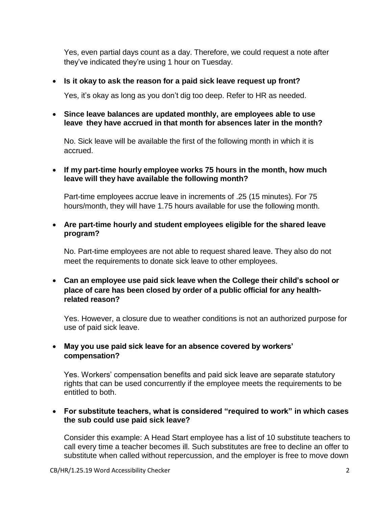Yes, even partial days count as a day. Therefore, we could request a note after they've indicated they're using 1 hour on Tuesday.

## **Is it okay to ask the reason for a paid sick leave request up front?**

Yes, it's okay as long as you don't dig too deep. Refer to HR as needed.

 **Since leave balances are updated monthly, are employees able to use leave they have accrued in that month for absences later in the month?**

No. Sick leave will be available the first of the following month in which it is accrued.

## **If my part-time hourly employee works 75 hours in the month, how much leave will they have available the following month?**

Part-time employees accrue leave in increments of .25 (15 minutes). For 75 hours/month, they will have 1.75 hours available for use the following month.

#### **Are part-time hourly and student employees eligible for the shared leave program?**

No. Part-time employees are not able to request shared leave. They also do not meet the requirements to donate sick leave to other employees.

 **Can an employee use paid sick leave when the College their child's school or place of care has been closed by order of a public official for any healthrelated reason?**

Yes. However, a closure due to weather conditions is not an authorized purpose for use of paid sick leave.

# **May you use paid sick leave for an absence covered by workers' compensation?**

Yes. Workers' compensation benefits and paid sick leave are separate statutory rights that can be used concurrently if the employee meets the requirements to be entitled to both.

## **For substitute teachers, what is considered "required to work" in which cases the sub could use paid sick leave?**

Consider this example: A Head Start employee has a list of 10 substitute teachers to call every time a teacher becomes ill. Such substitutes are free to decline an offer to substitute when called without repercussion, and the employer is free to move down